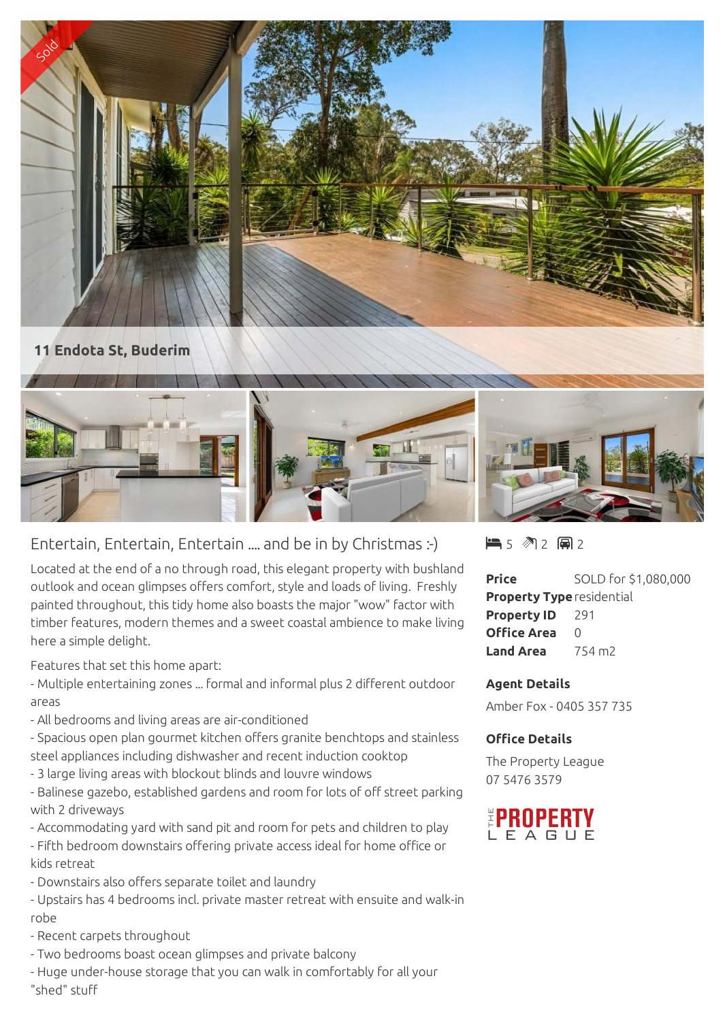



## Entertain, Entertain, Entertain .... and be in by Christmas :-)

Located at the end of a no through road, this elegant property with bushland outlook and ocean glimpses offers comfort, style and loads of living. Freshly painted throughout, this tidy home also boasts the major "wow" factor with timber features, modern themes and a sweet coastal ambience to make living here a simple delight.

Features that set this home apart:

- Multiple entertaining zones ... formal and informal plus 2 different outdoor areas

- All bedrooms and living areas are air-conditioned

- Spacious open plan gourmet kitchen offers granite benchtops and stainless steel appliances including dishwasher and recent induction cooktop

- 3 large living areas with blockout blinds and louvre windows

- Balinese gazebo, established gardens and room for lots of off street parking with 2 driveways

- Accommodating yard with sand pit and room for pets and children to play

- Fifth bedroom downstairs offering private access ideal for home office or kids retreat

- Downstairs also offers separate toilet and laundry

- Upstairs has 4 bedrooms incl. private master retreat with ensuite and walk-in robe

- Recent carpets throughout
- Two bedrooms boast ocean glimpses and private balcony
- Huge under-house storage that you can walk in comfortably for all your "shed" stuff

5 2 2

**Price** SOLD for \$1,080,000 **Property Type**residential **Property ID** 291 **Office Area** 0 **Land Area** 754 m<sup>2</sup>

## **Agent Details**

Amber Fox - 0405 357 735

## **Office Details**

The Property League 07 5476 3579